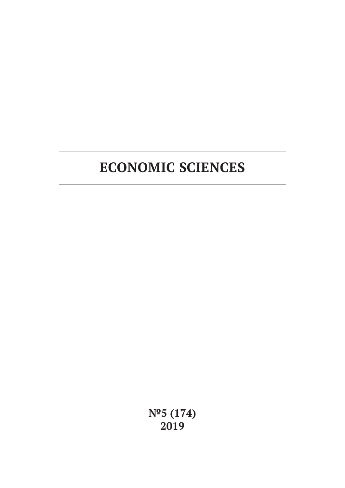# **ECONOMIC SCIENCES**

**№5 (174) 2019**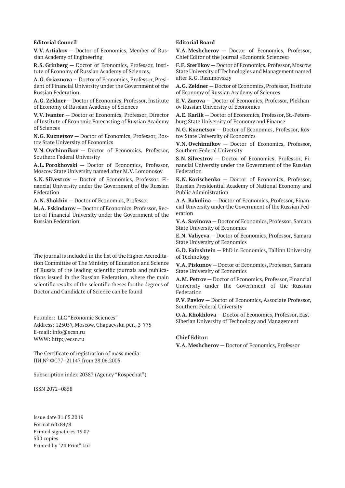#### **Editorial Council**

**V.V. Artiakov** — Doctor of Economics, Member of Russian Academy of Engineering

**R.S. Grinberg** — Doctor of Economics, Professor, Institute of Economy of Russian Academy of Sciences,

**A.G. Griaznova** — Doctor of Economics, Professor, President of Financial University under the Government of the Russian Federation

**A.G. Zeldner** — Doctor of Economics, Professor, Institute of Economy of Russian Academy of Sciences

**V.V. Ivanter** — Doctor of Economics, Professor, Director of Institute of Economic Forecasting of Russian Academy of Sciences

**N.G. Kuznetsov** — Doctor of Economics, Professor, Rostov State University of Economics

**V.N. Ovchinnikov** — Doctor of Economics, Professor, Southern Federal University

**A.L. Porokhovski** — Doctor of Economics, Professor, Moscow State University named after M.V. Lomonosov

**S.N. Silvestrov** — Doctor of Economics, Professor, Financial University under the Government of the Russian Federation

**A.N. Shokhin** — Doctor of Economics, Professor

**M.A. Eskindarov** — Doctor of Economics, Professor, Rector of Financial University under the Government of the Russian Federation

The journal is included in the list of the Higher Accreditation Committee of The Ministry of Education and Science of Russia of the leading scientific journals and publications issued in the Russian Federation, where the main scientific results of the scientific theses for the degrees of Doctor and Candidate of Science can be found

Founder: LLC "Economic Sciences" Address: 125057, Moscow, Chapaevskii per., 3-775 E-mail: info@ecsn.ru WWW: http://ecsn.ru

The Certificate of registration of mass media: ПИ № ФС77–21147 from 28.06.2005

Subscription index 20387 (Agency "Rospechat")

ISSN 2072–0858

Issue date 31.05.2019 Format 60х84/8 Printed signatures 19.07 500 copies Printed by "24 Print" Ltd

#### **Editorial Board**

**V.A. Meshcherov** — Doctor of Economics, Professor, Chief Editor of the Journal «Economic Sciences»

**F.F. Sterlikov** — Doctor of Economics, Professor, Moscow State University of Technologies and Management named after K.G. Razumovskiy

**A.G. Zeldner** — Doctor of Economics, Professor, Institute of Economy of Russian Academy of Sciences

**E.V. Zarova** — Doctor of Economics, Professor, Plekhanov Russian University of Economics

**A.E. Karlik** — Doctor of Economics, Professor, St.-Petersburg State University of Economy and Finance

**N.G. Kuznetsov** — Doctor of Economics, Professor, Rostov State University of Economics

**V.N. Ovchinnikov** — Doctor of Economics, Professor, Southern Federal University

**S.N. Silvestrov** — Doctor of Economics, Professor, Financial University under the Government of the Russian Federation

**K.N. Korischenko** — Doctor of Economics, Professor, Russian Presidential Academy of National Economy and Public Administration

**A.A. Bakulina** — Doctor of Economics, Professor, Financial University under the Government of the Russian Federation

**V.A. Savinova** — Doctor of Economics, Professor, Samara State University of Economics

**E.N. Valiyeva** — Doctor of Economics, Professor, Samara State University of Economics

**G.D. Fainshtein** — PhD in Economics, Tallinn University of Technology

**V.A. Piskunov** — Doctor of Economics, Professor, Samara State University of Economics

**A.M. Petrov** — Doctor of Economics, Professor, Financial University under the Government of the Russian Federation

**P.V. Pavlov** — Doctor of Economics, Associate Professor, Southern Federal University

**O.A. Khokhlova** — Doctor of Economics, Professor, East-Siberian University of Technology and Management

#### **Chief Editor:**

**V.A. Meshcherov** — Doctor of Economics, Professor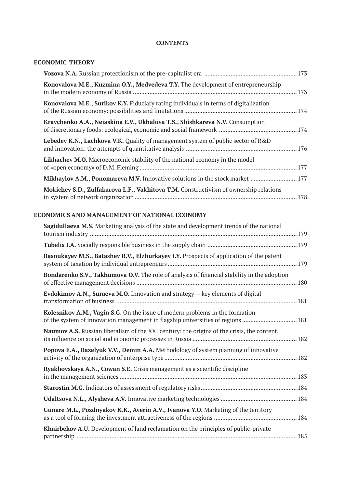### **CONTENTS**

# **ECONOMIC THEORY**

| Konovalova M.E., Kuzmina O.Y., Medvedeva T.Y. The development of entrepreneurship       |  |
|-----------------------------------------------------------------------------------------|--|
| Konovalova M.E., Surikov K.Y. Fiduciary rating individuals in terms of digitalization   |  |
| Kravchenko A.A., Neiaskina E.V., Ukhalova T.S., Shishkareva N.V. Consumption            |  |
| <b>Lebedev K.N., Lachkova V.K.</b> Quality of management system of public sector of R&D |  |
| Likhachev M.O. Macroeconomic stability of the national economy in the model             |  |
|                                                                                         |  |
| Mokichev S.D., Zulfakarova L.F., Vakhitova T.M. Constructivism of ownership relations   |  |

# **ECONOMICS AND MANAGEMENT OF NATIONAL ECONOMY**

| Sagidullaeva M.S. Marketing analysis of the state and development trends of the national                                                                       |  |
|----------------------------------------------------------------------------------------------------------------------------------------------------------------|--|
|                                                                                                                                                                |  |
| Basnukayev M.S., Batashev R.V., Elzhurkayev I.Y. Prospects of application of the patent                                                                        |  |
| Bondarenko S.V., Takhumova O.V. The role of analysis of financial stability in the adoption                                                                    |  |
| Evdokimov A.N., Suraeva M.O. Innovation and strategy - key elements of digital                                                                                 |  |
| Kolesnikov A.M., Vagin S.G. On the issue of modern problems in the formation<br>of the system of innovation management in flagship universities of regions 181 |  |
| Naumov A.S. Russian liberalism of the XXI century: the origins of the crisis, the content,                                                                     |  |
| Popova E.A., Bazelyuk V.V., Demin A.A. Methodology of system planning of innovative                                                                            |  |
| Ryakhovskaya A.N., Cowan S.E. Crisis management as a scientific discipline                                                                                     |  |
|                                                                                                                                                                |  |
|                                                                                                                                                                |  |
| Gunare M.L., Pozdnyakov K.K., Averin A.V., Ivanova Y.O. Marketing of the territory                                                                             |  |
| Khairbekov A.U. Development of land reclamation on the principles of public-private                                                                            |  |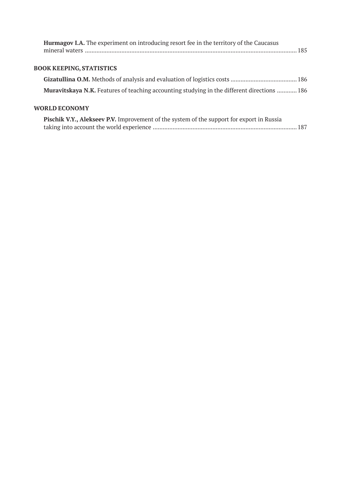| <b>Hurmagov I.A.</b> The experiment on introducing resort fee in the territory of the Caucasus   |  |
|--------------------------------------------------------------------------------------------------|--|
| <b>BOOK KEEPING, STATISTICS</b>                                                                  |  |
|                                                                                                  |  |
| Muravitskaya N.K. Features of teaching accounting studying in the different directions  186      |  |
| <b>WORLD ECONOMY</b>                                                                             |  |
| <b>Pischik V.Y., Alekseev P.V.</b> Improvement of the system of the support for export in Russia |  |

taking into account the world experience ....................................................................................... 187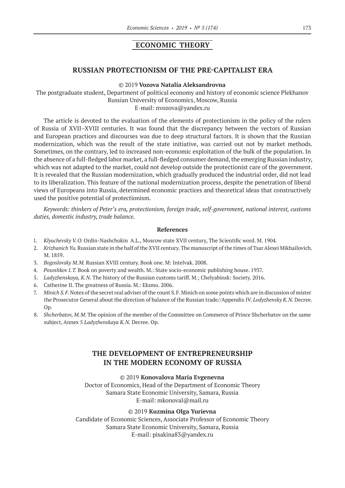# **ECONOMIC THEORY**

### **RUSSIAN PROTECTIONISM OF THE PRE-CAPITALIST ERA**

### ©© 2019 **Vozova Natalia Aleksandrovna**

The postgraduate student, Department of political economy and history of economic science Plekhanov Russian University of Economics, Moscow, Russia

E‑mail: nvozova@yandex.ru

The article is devoted to the evaluation of the elements of protectionism in the policy of the rulers of Russia of XVII–XVIII centuries. It was found that the discrepancy between the vectors of Russian and European practices and discourses was due to deep structural factors. It is shown that the Russian modernization, which was the result of the state initiative, was carried out not by market methods. Sometimes, on the contrary, led to increased non-economic exploitation of the bulk of the population. In the absence of a full-fledged labor market, a full-fledged consumer demand, the emerging Russian industry, which was not adapted to the market, could not develop outside the protectionist care of the government. It is revealed that the Russian modernization, which gradually produced the industrial order, did not lead to its liberalization. This feature of the national modernization process, despite the penetration of liberal views of Europeans into Russia, determined economic practices and theoretical ideas that constructively used the positive potential of protectionism.

*Keywords: thinkers of Peter's era, protectionism, foreign trade, self-government, national interest, customs duties, domestic industry, trade balance.*

#### **References**

- 1. *Klyuchevsky V. O.* Ordin-Nashchokin A.L., Moscow state XVII century, The Scientific word. M. 1904.
- 2. *Krizhanich Yu.* Russian state in the half of the XVII century. The manuscript of the times of Tsar Alexei Mikhailovich. M. 1859.
- 3. *Bogoslovsky M. M.* Russian XVIII century. Book one. M: Intelvak. 2008.
- 4. *Pososhkov I. T.* Book on poverty and wealth. M.: State socio-economic publishing house. 1937.
- 5. *Ladyzhenskaya, K.N*. The history of the Russian customs tariff. M.; Chelyabinsk: Society. 2016.
- 6. Catherine II. The greatness of Russia. M.: Eksmo. 2006.
- 7. *Minich S. F.* Notes of the secret real adviser of the count S.F. Minich on some points which are in discussion of mister the Prosecutor General about the direction of balance of the Russian trade//Appendix IV. *Lodyzhensky K. N.* Decree.  $On$
- 8. *Shcherbatov, M.M*. The opinion of the member of the Committee on Commerce of Prince Shcherbatov on the same subject, Annex 5 *Ladyzhenskaya K. N.* Decree. Op.

# **THE DEVELOPMENT OF ENTREPRENEURSHIP IN THE MODERN ECONOMY OF RUSSIA**

#### ©© 2019 **Konovalova Maria Evgenevna**

Doctor of Economics, Head of the Department of Economic Theory Samara State Economic University, Samara, Russia E‑mail: mkonoval@mail.ru

### ©© 2019 **Kuzmina Olga Yurievna**

Candidate of Economic Sciences, Associate Professor of Economic Theory Samara State Economic University, Samara, Russia E‑mail: pisakina83@yandex.ru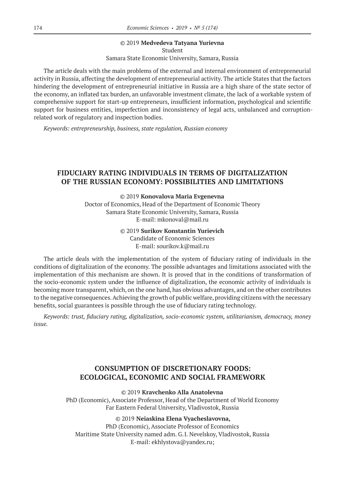### ©© 2019 **Medvedeva Tatyana Yurievna**

Student Samara State Economic University, Samara, Russia

The article deals with the main problems of the external and internal environment of entrepreneurial activity in Russia, affecting the development of entrepreneurial activity. The article States that the factors hindering the development of entrepreneurial initiative in Russia are a high share of the state sector of the economy, an inflated tax burden, an unfavorable investment climate, the lack of a workable system of comprehensive support for start-up entrepreneurs, insufficient information, psychological and scientific support for business entities, imperfection and inconsistency of legal acts, unbalanced and corruptionrelated work of regulatory and inspection bodies.

*Keywords: entrepreneurship, business, state regulation, Russian economy*

# **FIDUCIARY RATING INDIVIDUALS IN TERMS OF DIGITALIZATION OF THE RUSSIAN ECONOMY: POSSIBILITIES AND LIMITATIONS**

©© 2019 **Konovalova Maria Evgenevna**

Doctor of Economics, Head of the Department of Economic Theory Samara State Economic University, Samara, Russia E‑mail: mkonoval@mail.ru

### ©© 2019 **Surikov Konstantin Yurievich**

Candidate of Economic Sciences E‑mail: sourikov.k@mail.ru

The article deals with the implementation of the system of fiduciary rating of individuals in the conditions of digitalization of the economy. The possible advantages and limitations associated with the implementation of this mechanism are shown. It is proved that in the conditions of transformation of the socio-economic system under the influence of digitalization, the economic activity of individuals is becoming more transparent, which, on the one hand, has obvious advantages, and on the other contributes to the negative consequences. Achieving the growth of public welfare, providing citizens with the necessary benefits, social guarantees is possible through the use of fiduciary rating technology.

*Keywords: trust, fiduciary rating, digitalization, socio-economic system, utilitarianism, democracy, money issue.*

# **CONSUMPTION OF DISCRETIONARY FOODS: ECOLOGICAL, ECONOMIC AND SOCIAL FRAMEWORK**

©© 2019 **Kravchenko Alla Anatolevna** PhD (Economic), Associate Professor, Head of the Department of World Economy Far Eastern Federal University, Vladivostok, Russia

©© 2019 **Neiaskina Elena Vyacheslavovna,**

PhD (Economic), Associate Professor of Economics Maritime State University named adm. G.I. Nevelskoy, Vladivostok, Russia E‑mail: ekhlystova@yandex.ru;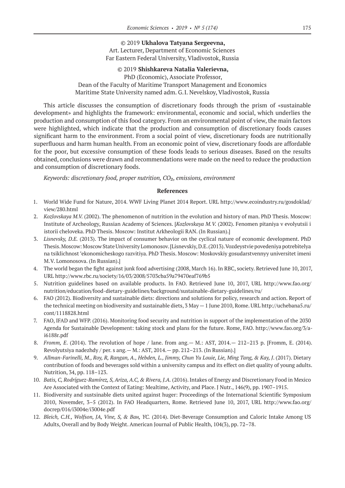©© 2019 **Ukhalova Tatyana Sergeevna,** Art. Lecturer, Department of Economic Sciences Far Eastern Federal University, Vladivostok, Russia

### ©© 2019 **Shishkareva Natalia Valerievna,**

PhD (Economic), Associate Professor, Dean of the Faculty of Maritime Transport Management and Economics Maritime State University named adm. G.I. Nevelskoy, Vladivostok, Russia

This article discusses the consumption of discretionary foods through the prism of «sustainable development» and highlights the framework: environmental, economic and social, which underlies the production and consumption of this food category. From an environmental point of view, the main factors were highlighted, which indicate that the production and consumption of discretionary foods causes significant harm to the environment. From a social point of view, discretionary foods are nutritionally superfluous and harm human health. From an economic point of view, discretionary foods are affordable for the poor, but excessive consumption of these foods leads to serious diseases. Based on the results obtained, conclusions were drawn and recommendations were made on the need to reduce the production and consumption of discretionary foods.

*Keywords: discretionary food, proper nutrition, CO₂, emissions, environment*

- 1. World Wide Fund for Nature, 2014. WWF Living Planet 2014 Report. URL http://www.ecoindustry.ru/gosdoklad/ view/280.html
- 2. *Kozlovskaya M.V.* (2002). The phenomenon of nutrition in the evolution and history of man. PhD Thesis. Moscow: Institute of Archeology, Russian Academy of Sciences. [*Kozlovskaya M. V.* (2002). Fenomen pitaniya v evolyutsii i istorii cheloveka. PhD Thesis. Moscow: Institut Arkheologii RAN. (In Russian).]
- 3. *Lisnevsky, D.E.* (2013). The impact of consumer behavior on the cyclical nature of economic development. PhD Thesis. Moscow: Moscow State University Lomonosov. [Lisnevskiy, D.E. (2013). Vozdeystvie povedeniya potrebitelya na tsiklichnost 'ekonomicheskogo razvitiya. PhD Thesis. Moscow: Moskovskiy gosudarstvennyy universitet imeni M.V. Lomonosova. (In Russian).]
- 4. The world began the fight against junk food advertising (2008, March 16). In RBC, society. Retrieved June 10, 2017, URL http://www.rbc.ru/society/16/03/2008/5703cba59a79470eaf769b5
- 5. Nutrition guidelines based on available products. In FAO. Retrieved June 10, 2017, URL http://www.fao.org/ nutrition/education/food-dietary-guidelines/background/sustainable-dietary-guidelines/ru/
- 6. FAO (2012). Biodiversity and sustainable diets: directions and solutions for policy, research and action. Report of the technical meeting on biodiversity and sustainable diets, 3 May — 1 June 2010, Rome. URL http://uchebana5.ru/ cont/1118828.html
- 7. FAO, IFAD and WFP. (2016). Monitoring food security and nutrition in support of the implementation of the 2030 Agenda for Sustainable Development: taking stock and plans for the future. Rome, FAO. http://www.fao.org/3/ai6188r.pdf
- 8. *Fromm, E*. (2014). The revolution of hope / lane. from ang.— M.: AST, 2014.— 212–213 p. [Fromm, E. (2014). Revolyutsiya nadezhdy / per. s ang.— M.: AST, 2014.— pp. 212–213. (In Russian).]
- 9. Allman-Farinelli, M., Roy, R., Rangan, A., Hebden, L., Jimmy, Chun Yu Louie, Lie, Ming Tang, & Kay, J. (2017). Dietary contribution of foods and beverages sold within a university campus and its effect on diet quality of young adults. Nutrition, 34, pp. 118–123.
- 10. *Batis, C, Rodríguez-Ramírez, S,Ariza,A.C, & Rivera, J.A.* (2016). Intakes of Energy and Discretionary Food in Mexico Are Associated with the Context of Eating: Mealtime, Activity, and Place. J Nutr., 146(9), pp. 1907–1915.
- 11. Biodiversity and sustsinable diets united against huger: Proceedings of the International Scientific Symposium 2010, Novemder, 3–5 (2012). In FAO Headquarters, Rome. Retrieved June 10, 2017, URL http://www.fao.org/ docrep/016/i3004e/i3004e.pdf
- 12. *Bleich, С.Н., Wolfson, JA, Vine, S, & Ван, YC.* (2014). Diet-Beverage Consumption and Caloric Intake Among US Adults, Overall and by Body Weight. American Journal of Public Health, 104(3), pp. 72–78.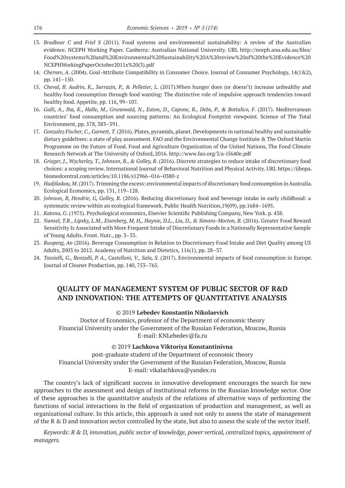- 13. *Bradbear C* and *Friel S* (2011). Food systems and environmental sustainability: A review of the Australian evidence. NCEPH Working Paper. Canberra: Australian National University. URL http://nceph.anu.edu.au/files/ Food%20systems%20and%20Environmental%20Sustainability%20A%20review%20of%20the%20Evidence%20 NCEPHWorkingPaperOctober2011x%20(3).pdf
- 14. *Chernev, A*. (2004). Goal-Attribute Compatibility in Consumer Choice. Journal of Consumer Psychology, 14(1&2), pp. 141–150.
- 15. *Cheval, B. Audrin, K., Sarrazin, P., & Pelletier, L*. (2017).When hunger does (or doesn't) increase unhealthy and healthy food consumption through food wanting: The distinctive role of impulsive approach tendencies toward healthy food. Appetite, pp. 116, 99–107.
- 16. Galli, A., Iha, K., Halle, M., Grunewald, N., Eaton, D., Capone, R., Debs, P., & Bottalico, F. (2017). Mediterranean countries' food consumption and sourcing patterns: An Ecological Footprint viewpoint. Science of The Total Environment, pp. 578, 383–391.
- 17. *Gonzalez Fischer, C.,Garnett, T.* (2016). Plates, pyramids, planet. Developments in national healthy and sustainable dietary guidelines: a state of play assessment. FAO and the Environmental Change Institute & The Oxford Martin Programme on the Future of Food. Food and Agriculture Organization of the United Nations, The Food Climate Research Network at The University of Oxford, 2016. http://www.fao.org/3/a-i5640e.pdf
- 18. *Grieger, J., Wycherley, T., Johnson, B., & Golley, R*. (2016). Discrete strategies to reduce intake of discretionary food choices: a scoping review. International Journal of Behavioral Nutrition and Physical Activity. URL https://ijbnpa. biomedcentral.com/articles/10.1186/s12966–016–0380-z
- 19. *Hadjikakou, M*. (2017). Trimming the excess: environmental impacts of discretionary food consumption in Australia. Ecological Economics, pp. 131, 119–128.
- 20. *Johnson, B, Hendrie, G, Golley, R.* (2016). Reducing discretionary food and beverage intake in early childhood: a systematic review within an ecological framework. Public Health Nutrition,19(09), pp.1684–1695.
- 21. *Katona, G*. (1975). Psychological economics, Elsevier Scientific Publishing Company, New York. p. 438.
- 22. *Nansel, T.R., Lipsky, L.M., Eisenberg, M, H,, Haynie, D.L., Liu, D., & Simons-Morton, B.* (2016). Greater Food Reward Sensitivity Is Associated with More Frequent Intake of Discretionary Foods in a Nationally Representative Sample of Young Adults. Front. Nutr., pp. 3–33.
- 23. *Ruopeng, An* (2016). Beverage Consumption in Relation to Discretionary Food Intake and Diet Quality among US Adults, 2003 to 2012. Academy of Nutrition and Dietetics, 116(1), pp. 28–37.
- 24. *Tassielli, G., Renzulli, P. A., Castellani, V., Sala, S*. (2017). Environmental impacts of food consumption in Europe. Journal of Cleaner Production, pp. 140, 753–765.

# **QUALITY OF MANAGEMENT SYSTEM OF PUBLIC SECTOR OF R&D AND INNOVATION: THE ATTEMPTS OF QUANTITATIVE ANALYSIS**

### ©© 2019 **Lebedev Konstantin Nikolaevich**

Doctor of Economics, professor of the Department of economic theory Financial University under the Government of the Russian Federation, Moscow, Russia E‑mail: KNLebedev@fa.ru

#### ©© 2019 **Lachkova Viktoriya Konstantinivna**

post-graduate student of the Department of economic theory Financial University under the Government of the Russian Federation, Moscow, Russia E‑mail: vikalachkova@yandex.ru

The country's lack of significant success in innovative development encourages the search for new approaches to the assessment and design of institutional reforms in the Russian knowledge sector. One of these approaches is the quantitative analysis of the relations of alternative ways of performing the functions of social interactions in the field of organization of production and management, as well as organizational culture. In this article, this approach is used not only to assess the state of management of the R & D and innovation sector controlled by the state, but also to assess the scale of the sector itself.

*Keywords: R & D, innovation, public sector of knowledge, power vertical, centralized topics, appointment of managers.*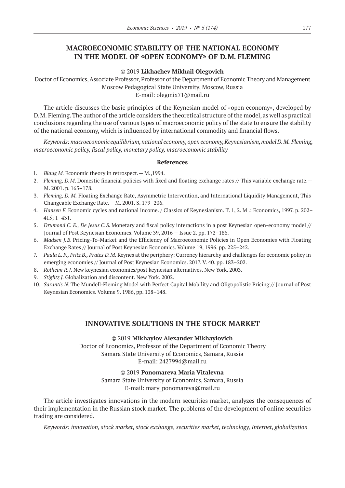# **MACROECONOMIC STABILITY OF THE NATIONAL ECONOMY IN THE MODEL OF «OPEN ECONOMY» OF D.M. FLEMING**

#### ©© 2019 **Likhachev Mikhail Olegovich**

Doctor of Economics, Associate Professor, Professor of the Department of Economic Theory and Management Moscow Pedagogical State University, Moscow, Russia E‑mail: olegmix71@mail.ru

The article discusses the basic principles of the Keynesian model of «open economy», developed by D.M. Fleming. The author of the article considers the theoretical structure of the model, as well as practical conclusions regarding the use of various types of macroeconomic policy of the state to ensure the stability of the national economy, which is influenced by international commodity and financial flows.

*Keywords: macroeconomic equilibrium, national economy, open economy, Keynesianism, model D.M. Fleming, macroeconomic policy, fiscal policy, monetary policy, macroeconomic stability*

#### **References**

- 1. *Blaug M.* Economic theory in retrospect. M., 1994.
- 2. *Fleming, D.M.* Domestic financial policies with fixed and floating exchange rates // This variable exchange rate.— M. 2001. p. 165–178.
- 3. *Fleming, D. M.* Floating Exchange Rate, Asymmetric Intervention, and International Liquidity Management, This Changeable Exchange Rate.— M. 2001. S. 179–206.
- 4. *Hansen E.* Economic cycles and national income. / Classics of Keynesianism. T. 1, 2. M .: Economics, 1997. p. 202– 415; 1–431.
- 5. *Drumond C. E., De Jesus C.S.* Monetary and fiscal policy interactions in a post Keynesian open-economy model // Journal of Post Keynesian Economics. Volume 39, 2016 — Issue 2. pp. 172–186.
- 6. *Madsen J.B.* Pricing-To-Market and the Efficiency of Macroeconomic Policies in Open Economies with Floating Exchange Rates // Journal of Post Keynesian Economics. Volume 19, 1996. pp. 225–242.
- 7. *Paula L. F., Fritz B., Prates D.M.* Keynes at the periphery: Currency hierarchy and challenges for economic policy in emerging economies // Journal of Post Keynesian Economics. 2017. V. 40. pp. 183–202.
- 8. *Rotheim R.J.* New keynesian economics/post keynesian alternatives. New York. 2003.
- 9. *Stiglitz J.* Globalization and discontent. New York. 2002.
- 10. *Sarantis N.* The Mundell-Fleming Model with Perfect Capital Mobility and Oligopolistic Pricing // Journal of Post Keynesian Economics. Volume 9. 1986, pp. 138–148.

### **INNOVATIVE SOLUTIONS IN THE STOCK MARKET**

©© 2019 **Mikhaylov Alexander Mikhaylovich** Doctor of Economics, Professor of the Department of Economic Theory Samara State University of Economics, Samara, Russia E‑mail: 2427994@mail.ru

©© 2019 **Ponomareva Maria Vitalevna**

Samara State University of Economics, Samara, Russia E-mail: mary\_ponomareva@mail.ru

The article investigates innovations in the modern securities market, analyzes the consequences of their implementation in the Russian stock market. The problems of the development of online securities trading are considered.

*Keywords: innovation, stock market, stock exchange, securities market, technology, Internet, globalization*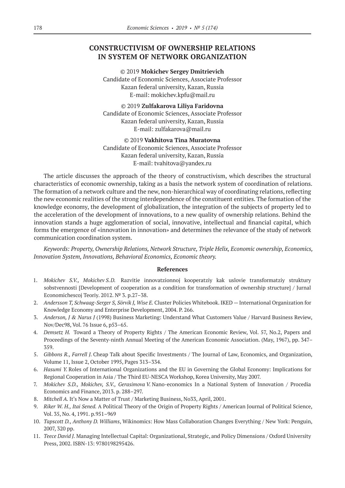# **CONSTRUCTIVISM OF OWNERSHIP RELATIONS IN SYSTEM OF NETWORK ORGANIZATION**

©© 2019 **Mokichev Sergey Dmitrievich** Candidate of Economic Sciences, Associate Professor Kazan federal university, Kazan, Russia E‑mail: mokichev.kpfu@mail.ru

©© 2019 **Zulfakarova Liliya Faridovna** Candidate of Economic Sciences, Associate Professor Kazan federal university, Kazan, Russia E‑mail: zulfakarova@mail.ru

©© 2019 **Vakhitova Tina Muratovna** Candidate of Economic Sciences, Associate Professor Kazan federal university, Kazan, Russia E‑mail: tvahitova@yandex.ru

The article discusses the approach of the theory of constructivism, which describes the structural characteristics of economic ownership, taking as a basis the network system of coordination of relations. The formation of a network culture and the new, non-hierarchical way of coordinating relations, reflecting the new economic realities of the strong interdependence of the constituent entities. The formation of the knowledge economy, the development of globalization, the integration of the subjects of property led to the acceleration of the development of innovations, to a new quality of ownership relations. Behind the innovation stands a huge agglomeration of social, innovative, intellectual and financial capital, which forms the emergence of «innovation in innovation» and determines the relevance of the study of network communication coordination system.

*Keywords: Property, Ownership Relations, Network Structure, Triple Helix, Economic ownership, Economics, Innovation System, Innovations, Behavioral Economics, Economic theory.*

- 1. *Mokichev S.V., Mokichev S. D.*Razvitie innovatzionnoj kooperatziy kak uslovie transformatziy struktury sobstvennosti [Development of cooperation as a condition for transformation of ownership structure] / Jurnal Economichescoj Teoriy. 2012. № 3. p.27–38.
- 2. *Andersson T, Schwaag-Serger S, Sörvik J, Wise E.* Cluster Policies Whitebook. IKED International Organization for Knowledge Economy and Enterprise Development, 2004. P. 266.
- 3. *Anderson, J & Narus J* (1998) Business Marketing: Understand What Customers Value / Harvard Business Review, Nov/Dec98, Vol. 76 Issue 6, p53–65.
- 4. *Demsetz H.* Toward a Theory of Property Rights / The American Economic Review, Vol. 57, No.2, Papers and Proceedings of the Seventy-ninth Annual Meeting of the American Economic Association. (May, 1967), pp. 347– 359.
- 5. *Gibbons R., Farrell J.* Cheap Talk about Specific Investments / The Journal of Law, Economics, and Organization, Volume 11, Issue 2, October 1995, Pages 313–334.
- 6. *Hasumi Y.* Roles of International Organizations and the EU in Governing the Global Economy: Implications for Regional Cooperation in Asia / The Third EU-NESCA Workshop, Korea University, May 2007.
- 7. *Mokichev S.D., Mokichev, S.V., Gerasimova V.* Nano-economics In a National System of Innovation / Procedia Economics and Finance, 2013. p. 288–297.
- 8. *Mitchell A.* It's Now a Matter of Trust / Marketing Business, No33, April, 2001.
- 9. *Riker W. H., Itai Sened.* A Political Theory of the Origin of Property Rights / American Journal of Political Science, Vol. 35, No. 4, 1991. p.951–969
- 10. *Tapscott D., Anthony D. Williams*, Wikinomics: How Mass Collaboration Changes Everything / New York: Penguin, 2007, 320 pp.
- 11. *Teece David J.* Managing Intellectual Capital: Organizational, Strategic, and Policy Dimensions / Oxford University Press, 2002. ISBN‑13: 9780198295426.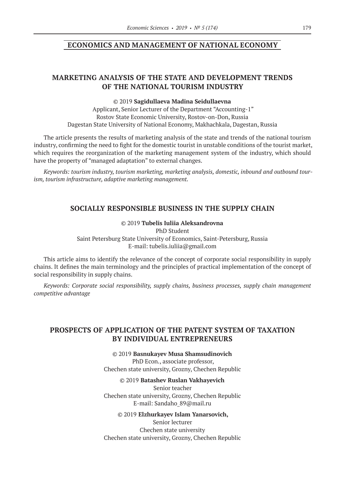### **ECONOMICS AND MANAGEMENT OF NATIONAL ECONOMY**

# **MARKETING ANALYSIS OF THE STATE AND DEVELOPMENT TRENDS OF THE NATIONAL TOURISM INDUSTRY**

### ©© 2019 **Sagidullaeva Madina Seidullaevna**

Applicant, Senior Lecturer of the Department "Accounting-1" Rostov State Economic University, Rostov-on-Don, Russia Dagestan State University of National Economy, Makhachkala, Dagestan, Russia

The article presents the results of marketing analysis of the state and trends of the national tourism industry, confirming the need to fight for the domestic tourist in unstable conditions of the tourist market, which requires the reorganization of the marketing management system of the industry, which should have the property of "managed adaptation" to external changes.

*Keywords: tourism industry, tourism marketing, marketing analysis, domestic, inbound and outbound tourism, tourism infrastructure, adaptive marketing management.*

# **SOCIALLY RESPONSIBLE BUSINESS IN THE SUPPLY CHAIN**

©© 2019 **Tubelis Iuliia Aleksandrovna** PhD Student Saint Petersburg State University of Economics, Saint-Petersburg, Russia E‑mail: tubelis.iuliia@gmail.com

This article aims to identify the relevance of the concept of corporate social responsibility in supply chains. It defines the main terminology and the principles of practical implementation of the concept of social responsibility in supply chains.

*Keywords: Corporate social responsibility, supply chains, business processes, supply chain management competitive advantage*

# **PROSPECTS OF APPLICATION OF THE PATENT SYSTEM OF TAXATION BY INDIVIDUAL ENTREPRENEURS**

©© 2019 **Basnukayev Musa Shamsudinovich** PhD Econ., associate professor, Chechen state university, Grozny, Chechen Republic

©© 2019 **Batashev Ruslan Vakhayevich**

Senior teacher Chechen state university, Grozny, Chechen Republic E-mail: Sandaho\_89@mail.ru

©© 2019 **Elzhurkayev Islam Yanarsovich,** Senior lecturer Chechen state university Chechen state university, Grozny, Chechen Republic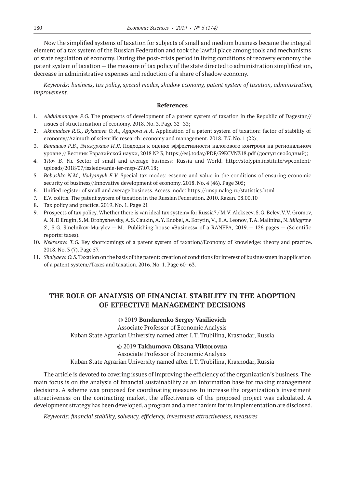Now the simplified systems of taxation for subjects of small and medium business became the integral element of a tax system of the Russian Federation and took the lawful place among tools and mechanisms of state regulation of economy. During the post-crisis period in living conditions of recovery economy the patent system of taxation — the measure of tax policy of the state directed to administration simplification, decrease in administrative expenses and reduction of a share of shadow economy.

*Keywords: business, tax policy, special modes, shadow economy, patent system of taxation, administration, improvement.*

#### **References**

- 1. *Abdulmanapov P. G.* The prospects of development of a patent system of taxation in the Republic of Dagestan// issues of structurization of economy. 2018. No. 3. Page 32–33;
- 2. *Akhmadeev R.G., Bykanova O. A., Agapova A. A.* Application of a patent system of taxation: factor of stability of economy//Azimuth of scientific research: economy and management. 2018. T.7. No. 1 (22);
- 3. *Баташев Р.В., Эльжуркаев И. Я.* Подходы к оценке эффективности налогового контроля на региональном уровне // Вестник Евразийской науки, 2018 № 3, https://esj.today/PDF/59ECVN318.pdf (доступ свободный);
- 4. *Titov B. Yu.*  Sector of small and average business: Russia and World. http://stolypin.institute/wpcontent/ uploads/2018/07/issledovanie-ier-msp‑27.07.18;
- 5. *Boboshko N.M., Vodyanyuk E. V.*  Special tax modes: essence and value in the conditions of ensuring economic security of business//Innovative development of economy. 2018. No. 4 (46). Page 305;
- 6. Unified register of small and average business. Access mode: https://rmsp.nalog.ru/statistics.html
- 7. E.V. colitis. The patent system of taxation in the Russian Federation. 2010. Kazan. 08.00.10
- 8. Tax policy and practice. 2019. No. 1. Page 21
- 9. Prospects of tax policy. Whether there is «an ideal tax system» for Russia? / M.V. Alekseev, S.G. Belev, V.V. Gromov, A. N. D Erugin, S.M. Drobyshevsky, A.S. Caukin, A.Y. Knobel, A. Korytin, V., E.A. Leonov, T.A. Malinina, N. *Milagrow S.,* S.G. Sinelnikov-Murylev — M.: Publishing house «Business» of a RANEPA, 2019.— 126 pages — (Scientific reports: taxes).
- 10. *Nekrasova T. G.* Key shortcomings of a patent system of taxation//Economy of knowledge: theory and practice. 2018. No. 3 (7). Page 57.
- 11. *Shalyaeva O. S.* Taxation on the basis of the patent: creation of conditions for interest of businessmen in application of a patent system//Taxes and taxation. 2016. No. 1. Page 60–63.

# **THE ROLE OF ANALYSIS OF FINANCIAL STABILITY IN THE ADOPTION OF EFFECTIVE MANAGEMENT DECISIONS**

#### ©© 2019 **Bondarenko Sergey Vasilievich**

Associate Professor of Economic Analysis

Kuban State Agrarian University named after I.T. Trubilina, Krasnodar, Russia

### ©© 2019 **Takhumova Oksana Viktorovna**

#### Associate Professor of Economic Analysis

Kuban State Agrarian University named after I.T. Trubilina, Krasnodar, Russia

The article is devoted to covering issues of improving the efficiency of the organization's business. The main focus is on the analysis of financial sustainability as an information base for making management decisions. A scheme was proposed for coordinating measures to increase the organization's investment attractiveness on the contracting market, the effectiveness of the proposed project was calculated. A development strategy has been developed, a program and a mechanism for its implementation are disclosed.

*Keywords: financial stability, solvency, efficiency, investment attractiveness, measures*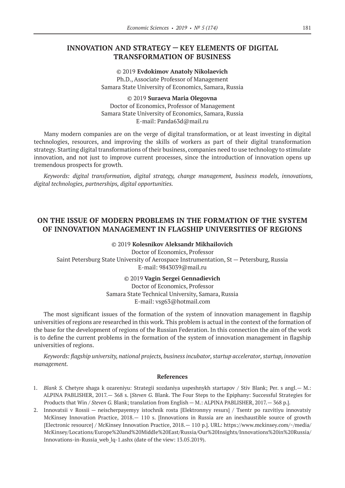# **INNOVATION AND STRATEGY — KEY ELEMENTS OF DIGITAL TRANSFORMATION OF BUSINESS**

©© 2019 **Evdokimov Anatoly Nikolaevich** Ph.D., Associate Professor of Management Samara State University of Economics, Samara, Russia

©© 2019 **Suraeva Maria Olegovna** Doctor of Economics, Professor of Management Samara State University of Economics, Samara, Russia E‑mail: Panda63d@mail.ru

Many modern companies are on the verge of digital transformation, or at least investing in digital technologies, resources, and improving the skills of workers as part of their digital transformation strategy. Starting digital transformations of their business, companies need to use technology to stimulate innovation, and not just to improve current processes, since the introduction of innovation opens up tremendous prospects for growth.

*Keywords: digital transformation, digital strategy, change management, business models, innovations, digital technologies, partnerships, digital opportunities.*

# **ON THE ISSUE OF MODERN PROBLEMS IN THE FORMATION OF THE SYSTEM OF INNOVATION MANAGEMENT IN FLAGSHIP UNIVERSITIES OF REGIONS**

©© 2019 **Kolesnikov Aleksandr Mikhailovich** Doctor of Economics, Professor Saint Petersburg State University of Aerospace Instrumentation, St — Petersburg, Russia E‑mail: 9843039@mail.ru

©© 2019 **Vagin Sergei Gennadievich**

Doctor of Economics, Professor Samara State Technical University, Samara, Russia E‑mail: vsg63@hotmail.com

The most significant issues of the formation of the system of innovation management in flagship universities of regions are researched in this work. This problem is actual in the context of the formation of the base for the development of regions of the Russian Federation. In this connection the aim of the work is to define the current problems in the formation of the system of innovation management in flagship universities of regions.

*Keywords: flagship university, national projects, business incubator, startup accelerator, startup, innovation management.*

- 1. *Blank S.* Chetyre shaga k ozareniyu: Strategii sozdaniya uspeshnykh startapov / Stiv Blank; Per. s angl.— M.: ALPINA PABLISHER, 2017.— 368 s. [*Steven G.* Blank. The Four Steps to the Epiphany: Successful Strategies for Products that Win / *Steven G.* Blank; translation from English — M.: ALPINA PABLISHER, 2017.— 368 p.].
- 2. Innovatsii v Rossii neischerpayemyy istochnik rosta [Elektronnyy resurs] / Tsentr po razvitiyu innovatsiy McKinsey Innovation Practice, 2018.— 110 s. [Innovations in Russia are an inexhaustible source of growth [Electronic resource] / McKinsey Innovation Practice, 2018.— 110 p.]. URL: https://www.mckinsey.com/~/media/ McKinsey/Locations/Europe%20and%20Middle%20East/Russia/Our%20Insights/Innovations%20in%20Russia/ Innovations-in-Russia\_web\_lq‑1.ashx (date of the view: 13.05.2019).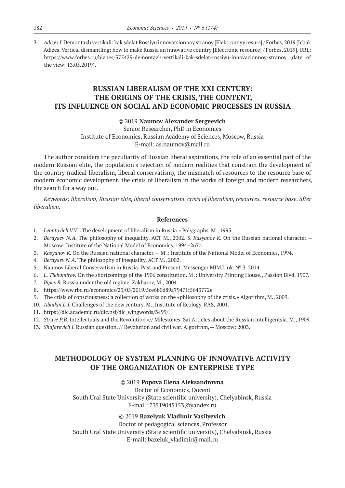3. *Adizes I.* Demontazh vertikali: kak sdelat Rossiyu innovatsionnoy stranoy [Elektronnyy resurs] / Forbes, 2019 [Ichak Adizes. Vertical dismantling: how to make Russia an innovative country [Electronic resource] / Forbes, 2019]. URL: https://www.forbes.ru/biznes/375429-demontazh-vertikali-kak-sdelat-rossiyu-innovacionnoy-stranoy (date of the view: 13.05.2019).

# **RUSSIAN LIBERALISM OF THE XXI CENTURY: THE ORIGINS OF THE CRISIS, THE CONTENT, ITS INFLUENCE ON SOCIAL AND ECONOMIC PROCESSES IN RUSSIA**

### ©© 2019 **Naumov Alexander Sergeevich**

Senior Researcher, PhD in Economics

Institute of Economics, Russian Academy of Sciences, Moscow, Russia

E-mail: as.naumov@mail.ru

The author considers the peculiarity of Russian liberal aspirations, the role of an essential part of the modern Russian elite, the population's rejection of modern realities that constrain the development of the country (radical liberalism, liberal conservatism), the mismatch of resources to the resource base of modern economic development, the crisis of liberalism in the works of foreign and modern researchers, the search for a way out.

*Keywords: liberalism, Russian elite, liberal conservatism, crisis of liberalism, resources, resource base, after liberalism.*

#### **References**

- 1. *Leontovich V.V.* «The development of liberalism in Russia.» Polygraphs. M., 1995.
- 2. *Berdyaev N. A.* The philosophy of inequality. ACT M., 2002. 3. *Kasyanov K.* On the Russian national character.— Moscow: Institute of the National Model of Economics, 1994–267с.
- 3. *Kasyanov K.* On the Russian national character.— M .: Institute of the National Model of Economics, 1994.
- 4. *Berdyaev N. A.* The philosophy of inequality. ACT M., 2002.
- 5. Naumov Liberal Conservatism in Russia: Past and Present. Messenger MIM Link. № 3. 2014.
- 6. *L. Tikhomirov.* On the shortcomings of the 1906 constitution. M .: University Printing House., Passion Blvd. 1907.
- 7. *Pipes R.* Russia under the old regime. Zakharov, M., 2004.
- 8. https://www.rbc.ru/economics/23/05/2019/5ce6b0d89a79471f5643772e
- 9. The crisis of consciousness: a collection of works on the «philosophy of the crisis.» Algorithm, M., 2009.
- 10. *Abalkin L. I.* Challenges of the new century. M., Institute of Ecology, RAS, 2001.
- 11. https://dic.academic.ru/dic.nsf/dic\_wingwords/3499/.
- 12. *Struve P. B.* Intellectuals and the Revolution «// Milestones. Sat Articles about the Russian intelligentsia. M., 1909.
- 13. *Shafarevich I. Russian question.* // Revolution and civil war. Algorithm, Moscow: 2003.

# **METHODOLOGY OF SYSTEM PLANNING OF INNOVATIVE ACTIVITY OF THE ORGANIZATION OF ENTERPRISE TYPE**

### ©© 2019 **Popova Elena Aleksandrovna**

Doctor of Economics, Docent South Ural State University (State scientific university), Chelyabinsk, Russia E‑mail: 73519045153@yandex.ru

©© 2019 **Bazelyuk Vladimir Vasilyevich**

Doctor of pedagogical sciences, Professor

South Ural State University (State scientific university), Chelyabinsk, Russia E-mail: bazeluk vladimir@mail.ru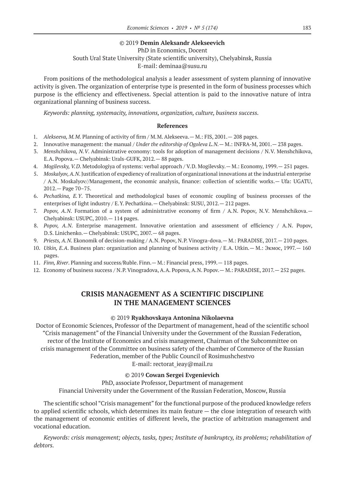### ©© 2019 **Demin Aleksandr Alekseevich**

### PhD in Economics, Docent South Ural State University (State scientific university), Chelyabinsk, Russia E-mail: deminaa@susu.ru

From positions of the methodological analysis a leader assessment of system planning of innovative activity is given. The organization of enterprise type is presented in the form of business processes which purpose is the efficiency and effectiveness. Special attention is paid to the innovative nature of intra organizational planning of business success.

*Keywords: planning, systemacity, innovations, organization, culture, business success.*

### **References**

- 1. Alekseeva, M.M. Planning of activity of firm / M.M. Alekseeva. M.: FIS, 2001. 208 pages.
- 2. Innovative management: the manual / *Under the editorship of Ogoleva L. N.* M.: INFRA-M, 2001.— 238 pages.
- 3. *Menshchikova, N. V*. Administrative economy: tools for adoption of management decisions / N.V. Menshchikova, E.A. Popova.— Chelyabinsk: Urals-GUFK, 2012.— 88 pages.
- 4. *Mogilevsky, V. D*. Metodologiya of systems: verbal approach / V.D. Mogilevsky.— M.: Economy, 1999.— 251 pages.
- 5. *Moskalyov, A.N*. Justification of expediency of realization of organizational innovations at the industrial enterprise / A.N. Moskalyov//Management, the economic analysis, finance: collection of scientific works.— Ufa: UGATU, 2012.— Page 70–75.
- 6. *Pechatkina, E.Y*. Theoretical and methodological bases of economic coupling of business processes of the enterprises of light industry / E.Y. Pechatkina.— Chelyabinsk: SUSU, 2012.— 212 pages.
- 7. *Popov, A.N.* Formation of a system of administrative economy of firm / A.N. Popov, N.V. Menshchikova.— Chelyabinsk: USUPC, 2010.— 114 pages.
- 8. *Popov, A.N*. Enterprise management. Innovative orientation and assessment of efficiency / A.N. Popov, D.S. Linichenko.— Chelyabinsk: USUPC, 2007.— 68 pages.
- 9. *Priests, A.N.* Ekonomik of decision-making / A.N. Popov, N.P. Vinogra-dova. M.: PARADISE, 2017. 210 pages.
- 10. *Utkin, E.A*. Business plan: organization and planning of business activity / E.A. Utkin.— M.: Экмос, 1997.— 160 pages.
- 11. *Finn, River*. Planning and success/Ruble. Finn.— M.: Financial press, 1999.— 118 pages.
- 12. Economy of business success / N.P. Vinogradova, A.A. Popova, A.N. Popov.— M.: PARADISE, 2017.— 252 pages.

# **CRISIS MANAGEMENT AS A SCIENTIFIC DISCIPLINE IN THE MANAGEMENT SCIENCES**

### ©© 2019 **Ryakhovskaya Antonina Nikolaevna**

Doctor of Economic Sciences, Professor of the Department of management, head of the scientific school "Crisis management" of the Financial University under the Government of the Russian Federation, rector of the Institute of Economics and crisis management, Chairman of the Subcommittee on crisis management of the Committee on business safety of the chamber of Commerce of the Russian Federation, member of the Public Council of Rosimushchestvo

E-mail: rectorat\_ieay@mail.ru

### ©© 2019 **Cowan Sergei Evgenievich**

PhD, associate Professor, Department of management

Financial University under the Government of the Russian Federation, Moscow, Russia

The scientific school "Crisis management" for the functional purpose of the produced knowledge refers to applied scientific schools, which determines its main feature — the close integration of research with the management of economic entities of different levels, the practice of arbitration management and vocational education.

*Keywords: crisis management; objects, tasks, types; Institute of bankruptcy, its problems; rehabilitation of debtors.*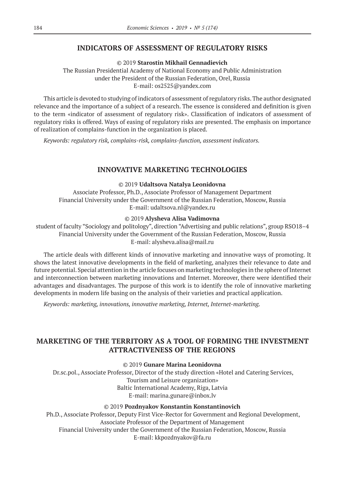### **INDICATORS OF ASSESSMENT OF REGULATORY RISKS**

©© 2019 **Starostin Mikhail Gennadievich**

The Russian Presidential Academy of National Economy and Public Administration under the President of the Russian Federation, Orel, Russia E‑mail: os2525@yandex.com

This article is devoted to studying of indicators of assessment of regulatory risks. The author designated relevance and the importance of a subject of a research. The essence is considered and definition is given to the term «indicator of assessment of regulatory risk». Classification of indicators of assessment of regulatory risks is offered. Ways of easing of regulatory risks are presented. The emphasis on importance of realization of complains-function in the organization is placed.

*Keywords: regulatory risk, complains-risk, complains-function, assessment indicators.*

### **INNOVATIVE MARKETING TECHNOLOGIES**

#### ©© 2019 **Udaltsova Natalya Leonidovna**

Associate Professor, Ph.D., Associate Professor of Management Department Financial University under the Government of the Russian Federation, Moscow, Russia E‑mail: udaltsova.nl@yandex.ru

#### ©© 2019 **Alysheva Alisa Vadimovna**

student of faculty "Sociology and politology", direction "Advertising and public relations", group RSO18–4 Financial University under the Government of the Russian Federation, Moscow, Russia E-mail: alysheva.alisa@mail.ru

The article deals with different kinds of innovative marketing and innovative ways of promoting. It shows the latest innovative developments in the field of marketing, analyzes their relevance to date and future potential. Special attention in the article focuses on marketing technologies in the sphere of Internet and interconnection between marketing innovations and Internet. Moreover, there were identified their advantages and disadvantages. The purpose of this work is to identify the role of innovative marketing developments in modern life basing on the analysis of their varieties and practical application.

*Keywords: marketing, innovations, innovative marketing, Internet, Internet-marketing.*

# **MARKETING OF THE TERRITORY AS A TOOL OF FORMING THE INVESTMENT ATTRACTIVENESS OF THE REGIONS**

#### ©© 2019 **Gunare Marina Leonidovna**

Dr.sc.pol., Associate Professor, Director of the study direction «Hotel and Catering Services, Tourism and Leisure organization» Baltic International Academy, Riga, Latvia E‑mail: marina.gunare@inbox.lv

#### ©© 2019 **Pozdnyakov Konstantin Konstantinovich**

Ph.D., Associate Professor, Deputy First Vice-Rector for Government and Regional Development, Associate Professor of the Department of Management Financial University under the Government of the Russian Federation, Moscow, Russia E‑mail: kkpozdnyakov@fa.ru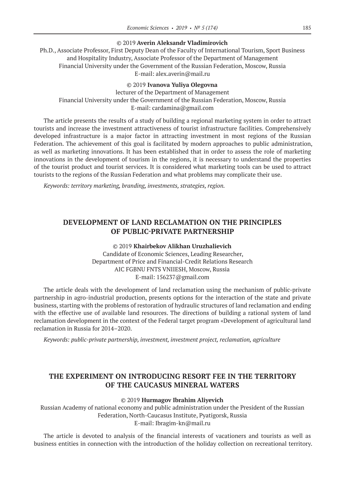### ©© 2019 **Averin Aleksandr Vladimirovich**

Ph.D., Associate Professor, First Deputy Dean of the Faculty of International Tourism, Sport Business and Hospitality Industry, Associate Professor of the Department of Management Financial University under the Government of the Russian Federation, Moscow, Russia E‑mail: alex.averin@mail.ru

### ©© 2019 **Ivanova Yuliya Olegovna**

lecturer of the Department of Management Financial University under the Government of the Russian Federation, Moscow, Russia E-mail: cardamina@gmail.com

The article presents the results of a study of building a regional marketing system in order to attract tourists and increase the investment attractiveness of tourist infrastructure facilities. Comprehensively developed infrastructure is a major factor in attracting investment in most regions of the Russian Federation. The achievement of this goal is facilitated by modern approaches to public administration, as well as marketing innovations. It has been established that in order to assess the role of marketing innovations in the development of tourism in the regions, it is necessary to understand the properties of the tourist product and tourist services. It is considered what marketing tools can be used to attract tourists to the regions of the Russian Federation and what problems may complicate their use.

*Keywords: territory marketing, branding, investments, strategies, region.*

# **DEVELOPMENT OF LAND RECLAMATION ON THE PRINCIPLES OF PUBLIC-PRIVATE PARTNERSHIP**

©© 2019 **Khairbekov Alikhan Uruzhalievich** Candidate of Economic Sciences, Leading Researcher, Department of Price and Financial-Credit Relations Research AIC FGBNU FNTS VNIIESH, Moscow, Russia E‑mail: 156237@gmail.com

The article deals with the development of land reclamation using the mechanism of public-private partnership in agro-industrial production, presents options for the interaction of the state and private business, starting with the problems of restoration of hydraulic structures of land reclamation and ending with the effective use of available land resources. The directions of building a rational system of land reclamation development in the context of the Federal target program «Development of agricultural land reclamation in Russia for 2014–2020.

*Keywords: public-private partnership, investment, investment project, reclamation, agriculture*

# **THE EXPERIMENT ON INTRODUCING RESORT FEE IN THE TERRITORY OF THE CAUCASUS MINERAL WATERS**

#### ©© 2019 **Hurmagov Ibrahim Aliyevich**

Russian Academy of national economy and public administration under the President of the Russian Federation, North-Caucasus Institute, Pyatigorsk, Russia E‑mail: Ibragim-kn@mail.ru

The article is devoted to analysis of the financial interests of vacationers and tourists as well as business entities in connection with the introduction of the holiday collection on recreational territory.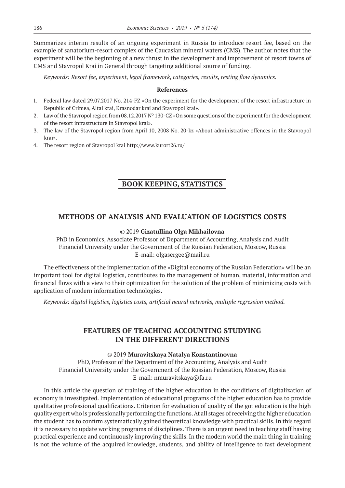Summarizes interim results of an ongoing experiment in Russia to introduce resort fee, based on the example of sanatorium-resort complex of the Caucasian mineral waters (CMS). The author notes that the experiment will be the beginning of a new thrust in the development and improvement of resort towns of CMS and Stavropol Krai in General through targeting additional source of funding.

*Keywords: Resort fee, experiment, legal framework, categories, results, resting flow dynamics.*

### **References**

- 1. Federal law dated 29.07.2017 No. 214-FZ «Оn the experiment for the development of the resort infrastructure in Republic of Crimea, Altai krai, Krasnodar krai and Stavropol krai».
- 2. Law of the Stavropol region from 08.12.2017 № 130-CZ «Оn some questions of the experiment for the development of the resort infrastructure in Stavropol krai».
- 3. The law of the Stavropol region from April 10, 2008 No. 20-kz «About administrative offences in the Stavropol krai».
- 4. The resort region of Stavropol krai http://www.kurort26.ru/

# **BOOK KEEPING, STATISTICS**

# **METHODS OF ANALYSIS AND EVALUATION OF LOGISTICS COSTS**

### ©© 2019 **Gizatullina Olga Mikhailovna**

PhD in Economics, Associate Professor of Department of Accounting, Analysis and Audit Financial University under the Government of the Russian Federation, Moscow, Russia E-mail: olgasergee@mail.ru

The effectiveness of the implementation of the «Digital economy of the Russian Federation» will be an important tool for digital logistics, contributes to the management of human, material, information and financial flows with a view to their optimization for the solution of the problem of minimizing costs with application of modern information technologies.

*Keywords: digital logistics, logistics costs, artificial neural networks, multiple regression method.*

# **FEATURES OF TEACHING ACCOUNTING STUDYING IN THE DIFFERENT DIRECTIONS**

### ©© 2019 **Muravitskaya Natalya Konstantinovna**

PhD, Professor of the Department of the Accounting, Analysis and Audit Financial University under the Government of the Russian Federation, Moscow, Russia E‑mail: nmuravitskaya@fa.ru

In this article the question of training of the higher education in the conditions of digitalization of economy is investigated. Implementation of educational programs of the higher education has to provide qualitative professional qualifications. Criterion for evaluation of quality of the got education is the high quality expert who is professionally performing the functions. At all stages of receiving the higher education the student has to confirm systematically gained theoretical knowledge with practical skills. In this regard it is necessary to update working programs of disciplines. There is an urgent need in teaching staff having practical experience and continuously improving the skills. In the modern world the main thing in training is not the volume of the acquired knowledge, students, and ability of intelligence to fast development